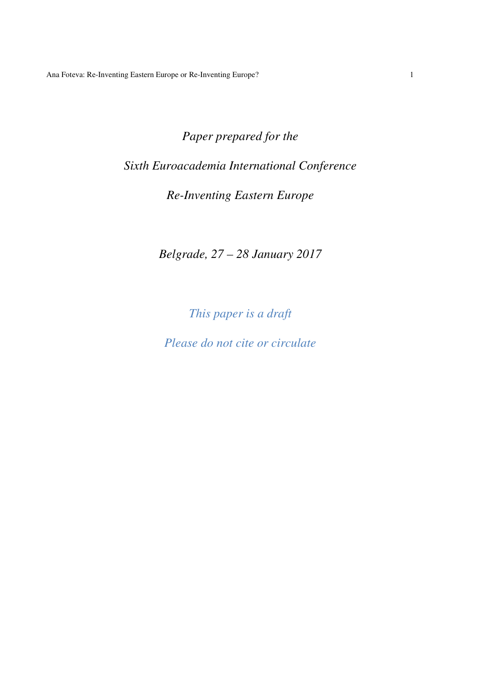*Paper prepared for the Sixth Euroacademia International Conference Re-Inventing Eastern Europe* 

*Belgrade, 27 – 28 January 2017* 

*This paper is a draft* 

*Please do not cite or circulate*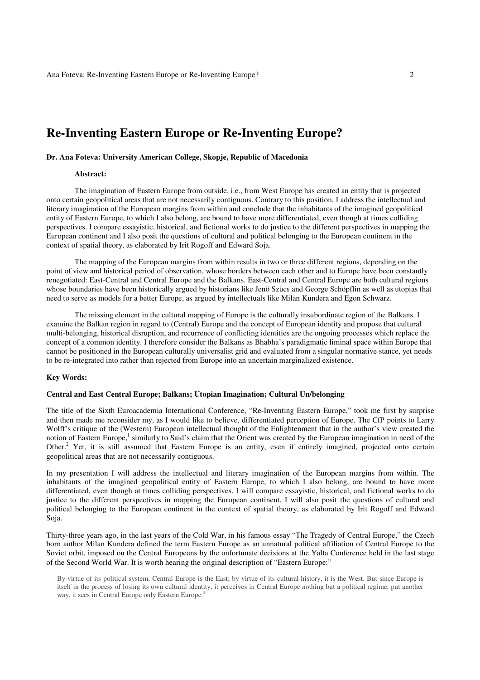# **Re-Inventing Eastern Europe or Re-Inventing Europe?**

# **Dr. Ana Foteva: University American College, Skopje, Republic of Macedonia**

## **Abstract:**

The imagination of Eastern Europe from outside, i.e., from West Europe has created an entity that is projected onto certain geopolitical areas that are not necessarily contiguous. Contrary to this position, I address the intellectual and literary imagination of the European margins from within and conclude that the inhabitants of the imagined geopolitical entity of Eastern Europe, to which I also belong, are bound to have more differentiated, even though at times colliding perspectives. I compare essayistic, historical, and fictional works to do justice to the different perspectives in mapping the European continent and I also posit the questions of cultural and political belonging to the European continent in the context of spatial theory, as elaborated by Irit Rogoff and Edward Soja.

The mapping of the European margins from within results in two or three different regions, depending on the point of view and historical period of observation, whose borders between each other and to Europe have been constantly renegotiated: East-Central and Central Europe and the Balkans. East-Central and Central Europe are both cultural regions whose boundaries have been historically argued by historians like Jenö Szücs and George Schöpflin as well as utopias that need to serve as models for a better Europe, as argued by intellectuals like Milan Kundera and Egon Schwarz.

The missing element in the cultural mapping of Europe is the culturally insubordinate region of the Balkans. I examine the Balkan region in regard to (Central) Europe and the concept of European identity and propose that cultural multi-belonging, historical disruption, and recurrence of conflicting identities are the ongoing processes which replace the concept of a common identity. I therefore consider the Balkans as Bhabha's paradigmatic liminal space within Europe that cannot be positioned in the European culturally universalist grid and evaluated from a singular normative stance, yet needs to be re-integrated into rather than rejected from Europe into an uncertain marginalized existence.

### **Key Words:**

## **Central and East Central Europe; Balkans; Utopian Imagination; Cultural Un/belonging**

The title of the Sixth Euroacademia International Conference, "Re-Inventing Eastern Europe," took me first by surprise and then made me reconsider my, as I would like to believe, differentiated perception of Europe. The CfP points to Larry Wolff's critique of the (Western) European intellectual thought of the Enlightenment that in the author's view created the notion of Eastern Europe,<sup>1</sup> similarly to Said's claim that the Orient was created by the European imagination in need of the Other.<sup>2</sup> Yet, it is still assumed that Eastern Europe is an entity, even if entirely imagined, projected onto certain geopolitical areas that are not necessarily contiguous.

In my presentation I will address the intellectual and literary imagination of the European margins from within. The inhabitants of the imagined geopolitical entity of Eastern Europe, to which I also belong, are bound to have more differentiated, even though at times colliding perspectives. I will compare essayistic, historical, and fictional works to do justice to the different perspectives in mapping the European continent. I will also posit the questions of cultural and political belonging to the European continent in the context of spatial theory, as elaborated by Irit Rogoff and Edward Soja.

Thirty-three years ago, in the last years of the Cold War, in his famous essay "The Tragedy of Central Europe," the Czech born author Milan Kundera defined the term Eastern Europe as an unnatural political affiliation of Central Europe to the Soviet orbit, imposed on the Central Europeans by the unfortunate decisions at the Yalta Conference held in the last stage of the Second World War. It is worth hearing the original description of "Eastern Europe:"

By virtue of its political system, Central Europe is the East; by virtue of its cultural history, it is the West. But since Europe is itself in the process of losing its own cultural identity, it perceives in Central Europe nothing but a political regime; put another way, it sees in Central Europe only Eastern Europe.<sup>3</sup>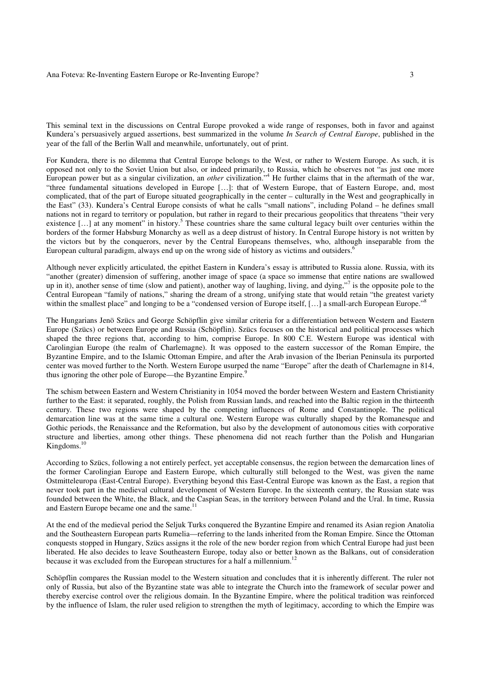This seminal text in the discussions on Central Europe provoked a wide range of responses, both in favor and against Kundera's persuasively argued assertions, best summarized in the volume *In Search of Central Europe*, published in the year of the fall of the Berlin Wall and meanwhile, unfortunately, out of print.

For Kundera, there is no dilemma that Central Europe belongs to the West, or rather to Western Europe. As such, it is opposed not only to the Soviet Union but also, or indeed primarily, to Russia, which he observes not "as just one more European power but as a singular civilization, an *other* civilization."<sup>4</sup> He further claims that in the aftermath of the war, "three fundamental situations developed in Europe […]: that of Western Europe, that of Eastern Europe, and, most complicated, that of the part of Europe situated geographically in the center – culturally in the West and geographically in the East" (33). Kundera's Central Europe consists of what he calls "small nations", including Poland – he defines small nations not in regard to territory or population, but rather in regard to their precarious geopolitics that threatens "their very existence [...] at any moment" in history.<sup>5</sup> These countries share the same cultural legacy built over centuries within the borders of the former Habsburg Monarchy as well as a deep distrust of history. In Central Europe history is not written by the victors but by the conquerors, never by the Central Europeans themselves, who, although inseparable from the European cultural paradigm, always end up on the wrong side of history as victims and outsiders.<sup>6</sup>

Although never explicitly articulated, the epithet Eastern in Kundera's essay is attributed to Russia alone. Russia, with its "another (greater) dimension of suffering, another image of space (a space so immense that entire nations are swallowed up in it), another sense of time (slow and patient), another way of laughing, living, and dying,"<sup>7</sup> is the opposite pole to the Central European "family of nations," sharing the dream of a strong, unifying state that would retain "the greatest variety within the smallest place" and longing to be a "condensed version of Europe itself, […] a small-arch European Europe."<sup>8</sup>

The Hungarians Jenö Szücs and George Schöpflin give similar criteria for a differentiation between Western and Eastern Europe (Szücs) or between Europe and Russia (Schöpflin). Szücs focuses on the historical and political processes which shaped the three regions that, according to him, comprise Europe. In 800 C.E. Western Europe was identical with Carolingian Europe (the realm of Charlemagne). It was opposed to the eastern successor of the Roman Empire, the Byzantine Empire, and to the Islamic Ottoman Empire, and after the Arab invasion of the Iberian Peninsula its purported center was moved further to the North. Western Europe usurped the name "Europe" after the death of Charlemagne in 814, thus ignoring the other pole of Europe—the Byzantine Empire.<sup>9</sup>

The schism between Eastern and Western Christianity in 1054 moved the border between Western and Eastern Christianity further to the East: it separated, roughly, the Polish from Russian lands, and reached into the Baltic region in the thirteenth century. These two regions were shaped by the competing influences of Rome and Constantinople. The political demarcation line was at the same time a cultural one. Western Europe was culturally shaped by the Romanesque and Gothic periods, the Renaissance and the Reformation, but also by the development of autonomous cities with corporative structure and liberties, among other things. These phenomena did not reach further than the Polish and Hungarian Kingdoms.<sup>10</sup>

According to Szücs, following a not entirely perfect, yet acceptable consensus, the region between the demarcation lines of the former Carolingian Europe and Eastern Europe, which culturally still belonged to the West, was given the name Ostmitteleuropa (East-Central Europe). Everything beyond this East-Central Europe was known as the East, a region that never took part in the medieval cultural development of Western Europe. In the sixteenth century, the Russian state was founded between the White, the Black, and the Caspian Seas, in the territory between Poland and the Ural. In time, Russia and Eastern Europe became one and the same. $11$ 

At the end of the medieval period the Seljuk Turks conquered the Byzantine Empire and renamed its Asian region Anatolia and the Southeastern European parts Rumelia—referring to the lands inherited from the Roman Empire. Since the Ottoman conquests stopped in Hungary, Szücs assigns it the role of the new border region from which Central Europe had just been liberated. He also decides to leave Southeastern Europe, today also or better known as the Balkans, out of consideration because it was excluded from the European structures for a half a millennium.<sup>12</sup>

Schöpflin compares the Russian model to the Western situation and concludes that it is inherently different. The ruler not only of Russia, but also of the Byzantine state was able to integrate the Church into the framework of secular power and thereby exercise control over the religious domain. In the Byzantine Empire, where the political tradition was reinforced by the influence of Islam, the ruler used religion to strengthen the myth of legitimacy, according to which the Empire was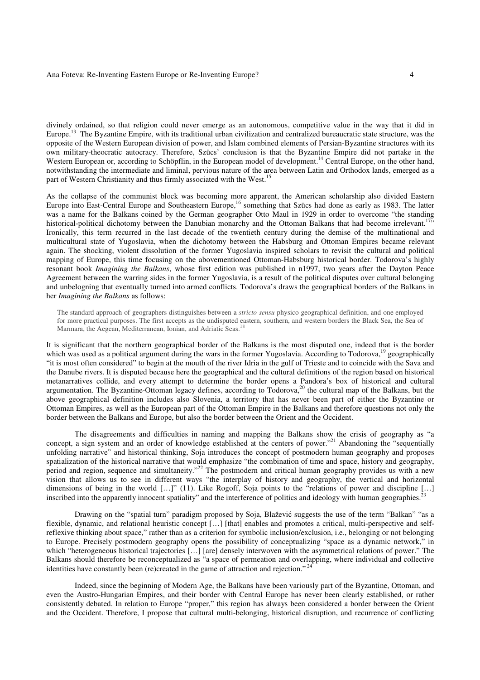divinely ordained, so that religion could never emerge as an autonomous, competitive value in the way that it did in Europe.<sup>13</sup> The Byzantine Empire, with its traditional urban civilization and centralized bureaucratic state structure, was the opposite of the Western European division of power, and Islam combined elements of Persian-Byzantine structures with its own military-theocratic autocracy. Therefore, Szücs' conclusion is that the Byzantine Empire did not partake in the Western European or, according to Schöpflin, in the European model of development.<sup>14</sup> Central Europe, on the other hand, notwithstanding the intermediate and liminal, pervious nature of the area between Latin and Orthodox lands, emerged as a part of Western Christianity and thus firmly associated with the West.<sup>15</sup>

As the collapse of the communist block was becoming more apparent, the American scholarship also divided Eastern Europe into East-Central Europe and Southeastern Europe,<sup>16</sup> something that Szücs had done as early as 1983. The latter was a name for the Balkans coined by the German geographer Otto Maul in 1929 in order to overcome "the standing historical-political dichotomy between the Danubian monarchy and the Ottoman Balkans that had become irrelevant.<sup>17</sup> Ironically, this term recurred in the last decade of the twentieth century during the demise of the multinational and multicultural state of Yugoslavia, when the dichotomy between the Habsburg and Ottoman Empires became relevant again. The shocking, violent dissolution of the former Yugoslavia inspired scholars to revisit the cultural and political mapping of Europe, this time focusing on the abovementioned Ottoman-Habsburg historical border. Todorova's highly resonant book *Imagining the Balkans*, whose first edition was published in n1997, two years after the Dayton Peace Agreement between the warring sides in the former Yugoslavia, is a result of the political disputes over cultural belonging and unbelogning that eventually turned into armed conflicts. Todorova's draws the geographical borders of the Balkans in her *Imagining the Balkans* as follows:

The standard approach of geographers distinguishes between a *stricto sensu* physico geographical definition, and one employed for more practical purposes. The first accepts as the undisputed eastern, southern, and western borders the Black Sea, the Sea of Marmara, the Aegean, Mediterranean, Ionian, and Adriatic Seas.

It is significant that the northern geographical border of the Balkans is the most disputed one, indeed that is the border which was used as a political argument during the wars in the former Yugoslavia. According to Todorova,<sup>19</sup> geographically "it is most often considered" to begin at the mouth of the river Idria in the gulf of Trieste and to coincide with the Sava and the Danube rivers. It is disputed because here the geographical and the cultural definitions of the region based on historical metanarratives collide, and every attempt to determine the border opens a Pandora's box of historical and cultural argumentation. The Byzantine-Ottoman legacy defines, according to Todorova,<sup>20</sup> the cultural map of the Balkans, but the above geographical definition includes also Slovenia, a territory that has never been part of either the Byzantine or Ottoman Empires, as well as the European part of the Ottoman Empire in the Balkans and therefore questions not only the border between the Balkans and Europe, but also the border between the Orient and the Occident.

 The disagreements and difficulties in naming and mapping the Balkans show the crisis of geography as "a concept, a sign system and an order of knowledge established at the centers of power."<sup>21</sup> Abandoning the "sequentially unfolding narrative" and historical thinking, Soja introduces the concept of postmodern human geography and proposes spatialization of the historical narrative that would emphasize "the combination of time and space, history and geography, period and region, sequence and simultaneity."<sup>22</sup> The postmodern and critical human geography provides us with a new vision that allows us to see in different ways "the interplay of history and geography, the vertical and horizontal dimensions of being in the world [...]" (11). Like Rogoff, Soja points to the "relations of power and discipline [...] inscribed into the apparently innocent spatiality" and the interference of politics and ideology with human geographies.

 Drawing on the "spatial turn" paradigm proposed by Soja, Blažević suggests the use of the term "Balkan" "as a flexible, dynamic, and relational heuristic concept […] [that] enables and promotes a critical, multi-perspective and selfreflexive thinking about space," rather than as a criterion for symbolic inclusion/exclusion, i.e., belonging or not belonging to Europe. Precisely postmodern geography opens the possibility of conceptualizing "space as a dynamic network," in which "heterogeneous historical trajectories [...] [are] densely interwoven with the asymmetrical relations of power." The Balkans should therefore be reconceptualized as "a space of permeation and overlapping, where individual and collective identities have constantly been (re)created in the game of attraction and rejection."<sup>24</sup>

 Indeed, since the beginning of Modern Age, the Balkans have been variously part of the Byzantine, Ottoman, and even the Austro-Hungarian Empires, and their border with Central Europe has never been clearly established, or rather consistently debated. In relation to Europe "proper," this region has always been considered a border between the Orient and the Occident. Therefore, I propose that cultural multi-belonging, historical disruption, and recurrence of conflicting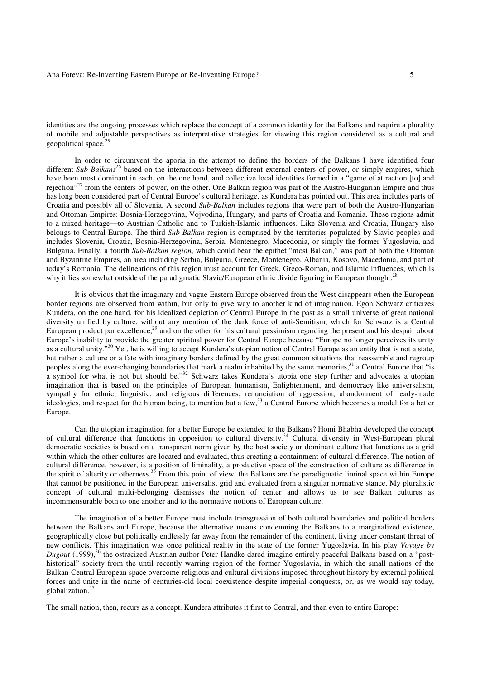identities are the ongoing processes which replace the concept of a common identity for the Balkans and require a plurality of mobile and adjustable perspectives as interpretative strategies for viewing this region considered as a cultural and geopolitical space.<sup>2</sup>

 In order to circumvent the aporia in the attempt to define the borders of the Balkans I have identified four different *Sub-Balkans*<sup>26</sup> based on the interactions between different external centers of power, or simply empires, which have been most dominant in each, on the one hand, and collective local identities formed in a "game of attraction [to] and rejection"<sup>27</sup> from the centers of power, on the other. One Balkan region was part of the Austro-Hungarian Empire and thus has long been considered part of Central Europe's cultural heritage, as Kundera has pointed out. This area includes parts of Croatia and possibly all of Slovenia. A second *Sub-Balkan* includes regions that were part of both the Austro-Hungarian and Ottoman Empires: Bosnia-Herzegovina, Vojvodina, Hungary, and parts of Croatia and Romania. These regions admit to a mixed heritage—to Austrian Catholic and to Turkish-Islamic influences. Like Slovenia and Croatia, Hungary also belongs to Central Europe. The third *Sub-Balkan* region is comprised by the territories populated by Slavic peoples and includes Slovenia, Croatia, Bosnia-Herzegovina, Serbia, Montenegro, Macedonia, or simply the former Yugoslavia, and Bulgaria. Finally, a fourth *Sub-Balkan region*, which could bear the epithet "most Balkan," was part of both the Ottoman and Byzantine Empires, an area including Serbia, Bulgaria, Greece, Montenegro, Albania, Kosovo, Macedonia, and part of today's Romania. The delineations of this region must account for Greek, Greco-Roman, and Islamic influences, which is why it lies somewhat outside of the paradigmatic Slavic/European ethnic divide figuring in European thought.<sup>28</sup>

 It is obvious that the imaginary and vague Eastern Europe observed from the West disappears when the European border regions are observed from within, but only to give way to another kind of imagination. Egon Schwarz criticizes Kundera, on the one hand, for his idealized depiction of Central Europe in the past as a small universe of great national diversity unified by culture, without any mention of the dark force of anti-Semitism, which for Schwarz is a Central European product par excellence,<sup>29</sup> and on the other for his cultural pessimism regarding the present and his despair about Europe's inability to provide the greater spiritual power for Central Europe because "Europe no longer perceives its unity as a cultural unity."<sup>30</sup> Yet, he is willing to accept Kundera's utopian notion of Central Europe as an entity that is not a state, but rather a culture or a fate with imaginary borders defined by the great common situations that reassemble and regroup peoples along the ever-changing boundaries that mark a realm inhabited by the same memories,<sup>31</sup> a Central Europe that "is a symbol for what is not but should be."<sup>32</sup> Schwarz takes Kundera's utopia one step further and advocates a utopian imagination that is based on the principles of European humanism, Enlightenment, and democracy like universalism, sympathy for ethnic, linguistic, and religious differences, renunciation of aggression, abandonment of ready-made ideologies, and respect for the human being, to mention but a few,<sup>33</sup> a Central Europe which becomes a model for a better Europe.

 Can the utopian imagination for a better Europe be extended to the Balkans? Homi Bhabha developed the concept of cultural difference that functions in opposition to cultural diversity.<sup>34</sup> Cultural diversity in West-European plural democratic societies is based on a transparent norm given by the host society or dominant culture that functions as a grid within which the other cultures are located and evaluated, thus creating a containment of cultural difference. The notion of cultural difference, however, is a position of liminality, a productive space of the construction of culture as difference in the spirit of alterity or otherness.<sup>35</sup> From this point of view, the Balkans are the paradigmatic liminal space within Europe that cannot be positioned in the European universalist grid and evaluated from a singular normative stance. My pluralistic concept of cultural multi-belonging dismisses the notion of center and allows us to see Balkan cultures as incommensurable both to one another and to the normative notions of European culture.

 The imagination of a better Europe must include transgression of both cultural boundaries and political borders between the Balkans and Europe, because the alternative means condemning the Balkans to a marginalized existence, geographically close but politically endlessly far away from the remainder of the continent, living under constant threat of new conflicts. This imagination was once political reality in the state of the former Yugoslavia. In his play *Voyage by Dugout* (1999),<sup>36</sup> the ostracized Austrian author Peter Handke dared imagine entirely peaceful Balkans based on a "posthistorical" society from the until recently warring region of the former Yugoslavia, in which the small nations of the Balkan-Central European space overcome religious and cultural divisions imposed throughout history by external political forces and unite in the name of centuries-old local coexistence despite imperial conquests, or, as we would say today, globalization.<sup>37</sup>

The small nation, then, recurs as a concept. Kundera attributes it first to Central, and then even to entire Europe: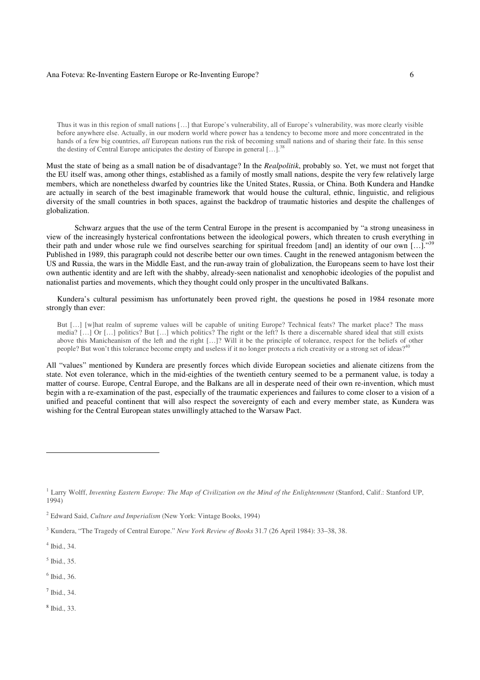#### Ana Foteva: Re-Inventing Eastern Europe or Re-Inventing Europe? 6

Thus it was in this region of small nations […] that Europe's vulnerability, all of Europe's vulnerability, was more clearly visible before anywhere else. Actually, in our modern world where power has a tendency to become more and more concentrated in the hands of a few big countries, *all* European nations run the risk of becoming small nations and of sharing their fate. In this sense the destiny of Central Europe anticipates the destiny of Europe in general [...].<sup>31</sup>

Must the state of being as a small nation be of disadvantage? In the *Realpolitik*, probably so. Yet, we must not forget that the EU itself was, among other things, established as a family of mostly small nations, despite the very few relatively large members, which are nonetheless dwarfed by countries like the United States, Russia, or China. Both Kundera and Handke are actually in search of the best imaginable framework that would house the cultural, ethnic, linguistic, and religious diversity of the small countries in both spaces, against the backdrop of traumatic histories and despite the challenges of globalization.

Schwarz argues that the use of the term Central Europe in the present is accompanied by "a strong uneasiness in view of the increasingly hysterical confrontations between the ideological powers, which threaten to crush everything in their path and under whose rule we find ourselves searching for spiritual freedom [and] an identity of our own  $[...]$ . Published in 1989, this paragraph could not describe better our own times. Caught in the renewed antagonism between the US and Russia, the wars in the Middle East, and the run-away train of globalization, the Europeans seem to have lost their own authentic identity and are left with the shabby, already-seen nationalist and xenophobic ideologies of the populist and nationalist parties and movements, which they thought could only prosper in the uncultivated Balkans.

Kundera's cultural pessimism has unfortunately been proved right, the questions he posed in 1984 resonate more strongly than ever:

But […] [w]hat realm of supreme values will be capable of uniting Europe? Technical feats? The market place? The mass media? […] Or […] politics? But […] which politics? The right or the left? Is there a discernable shared ideal that still exists above this Manicheanism of the left and the right […]? Will it be the principle of tolerance, respect for the beliefs of other people? But won't this tolerance become empty and useless if it no longer protects a rich creativity or a strong set of ideas?

All "values" mentioned by Kundera are presently forces which divide European societies and alienate citizens from the state. Not even tolerance, which in the mid-eighties of the twentieth century seemed to be a permanent value, is today a matter of course. Europe, Central Europe, and the Balkans are all in desperate need of their own re-invention, which must begin with a re-examination of the past, especially of the traumatic experiences and failures to come closer to a vision of a unified and peaceful continent that will also respect the sovereignty of each and every member state, as Kundera was wishing for the Central European states unwillingly attached to the Warsaw Pact.

 $\overline{a}$ 

6 Ibid., 36.

7 Ibid., 34.

8 Ibid., 33.

<sup>&</sup>lt;sup>1</sup> Larry Wolff, *Inventing Eastern Europe: The Map of Civilization on the Mind of the Enlightenment* (Stanford, Calif.: Stanford UP, 1994)

<sup>2</sup> Edward Said, *Culture and Imperialism* (New York: Vintage Books, 1994)

<sup>3</sup> Kundera, "The Tragedy of Central Europe." *New York Review of Books* 31.7 (26 April 1984): 33–38, 38.

<sup>4</sup> Ibid., 34.

<sup>5</sup> Ibid., 35.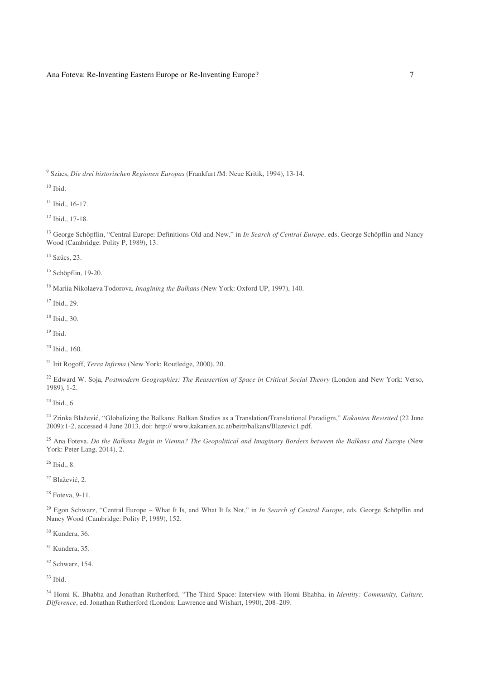Szücs, *Die drei historischen Regionen Europas* (Frankfurt /M: Neue Kritik, 1994), 13-14.

Ibid.

 $\overline{a}$ 

Ibid.,  $16-17$ .

Ibid.,  $17-18$ .

<sup>13</sup> George Schöpflin, "Central Europe: Definitions Old and New," in *In Search of Central Europe*, eds. George Schöpflin and Nancy Wood (Cambridge: Polity P, 1989), 13.

<sup>14</sup> Szücs, 23.

Schöpflin, 19-20.

Mariia Nikolaeva Todorova, *Imagining the Balkans* (New York: Oxford UP, 1997), 140.

Ibid., 29.

Ibid., 30.

Ibid.

Ibid., 160.

Irit Rogoff, *Terra Infirma* (New York: Routledge, 2000), 20.

<sup>22</sup> Edward W. Soja, *Postmodern Geographies: The Reassertion of Space in Critical Social Theory* (London and New York: Verso, 1989), 1-2.

 $^{23}$  Ibid., 6.

 Zrinka Blažević, "Globalizing the Balkans: Balkan Studies as a Translation/Translational Paradigm," *Kakanien Revisited* (22 June 2009):1-2, accessed 4 June 2013, doi: http:// www.kakanien.ac.at/beitr/balkans/Blazevic1.pdf.

 Ana Foteva, *Do the Balkans Begin in Vienna? The Geopolitical and Imaginary Borders between the Balkans and Europe* (New York: Peter Lang, 2014), 2.

Ibid., 8.

Blažević, 2.

Foteva, 9-11.

 Egon Schwarz, "Central Europe – What It Is, and What It Is Not," in *In Search of Central Europe*, eds. George Schöpflin and Nancy Wood (Cambridge: Polity P, 1989), 152.

Kundera, 36.

Kundera, 35.

Schwarz, 154.

Ibid.

 Homi K. Bhabha and Jonathan Rutherford, "The Third Space: Interview with Homi Bhabha, in *Identity: Community, Culture, Difference*, ed. Jonathan Rutherford (London: Lawrence and Wishart, 1990), 208–209.